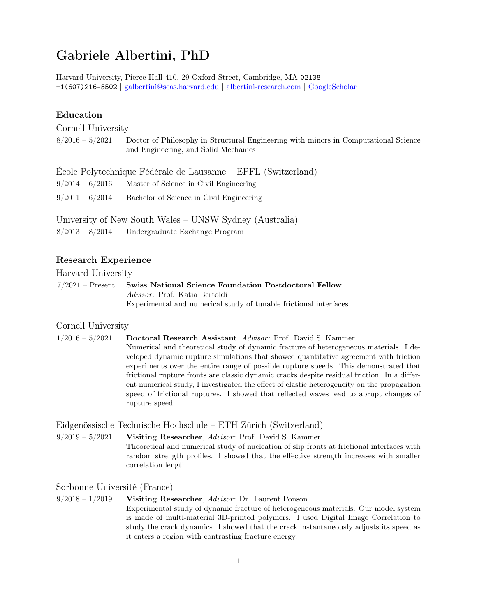# Gabriele Albertini, PhD

Harvard University, Pierce Hall 410, 29 Oxford Street, Cambridge, MA 02138 +1(607)216-5502 | [galbertini@seas.harvard.edu](mailto:galbertini@seas.harvard.edu) | [albertini-research.com](https://albertini-research.com/) | [GoogleScholar](https://scholar.google.com/citations?user=hcGejO0AAAAJ&hl=en&oi=ao)

# Education

Cornell University

| $8/2016 - 5/2021$ | Doctor of Philosophy in Structural Engineering with minors in Computational Science<br>and Engineering, and Solid Mechanics |
|-------------------|-----------------------------------------------------------------------------------------------------------------------------|
|                   | Ecole Polytechnique Fédérale de Lausanne – EPFL (Switzerland)                                                               |
| $9/2014 - 6/2016$ | Master of Science in Civil Engineering                                                                                      |
| $9/2011 - 6/2014$ | Bachelor of Science in Civil Engineering                                                                                    |
|                   |                                                                                                                             |

University of New South Wales – UNSW Sydney (Australia) 8/2013 – 8/2014 Undergraduate Exchange Program

### Research Experience

Harvard University

7/2021 – Present Swiss National Science Foundation Postdoctoral Fellow, Advisor: Prof. Katia Bertoldi Experimental and numerical study of tunable frictional interfaces.

### Cornell University

1/2016 – 5/2021 Doctoral Research Assistant, Advisor: Prof. David S. Kammer Numerical and theoretical study of dynamic fracture of heterogeneous materials. I developed dynamic rupture simulations that showed quantitative agreement with friction experiments over the entire range of possible rupture speeds. This demonstrated that frictional rupture fronts are classic dynamic cracks despite residual friction. In a different numerical study, I investigated the effect of elastic heterogeneity on the propagation speed of frictional ruptures. I showed that reflected waves lead to abrupt changes of rupture speed.

### Eidgenössische Technische Hochschule – ETH Zürich (Switzerland)

 $9/2019 - 5/2021$  Visiting Researcher, Advisor: Prof. David S. Kammer Theoretical and numerical study of nucleation of slip fronts at frictional interfaces with random strength profiles. I showed that the effective strength increases with smaller correlation length.

# Sorbonne Université (France)

 $9/2018 - 1/2019$  Visiting Researcher, Advisor: Dr. Laurent Ponson Experimental study of dynamic fracture of heterogeneous materials. Our model system is made of multi-material 3D-printed polymers. I used Digital Image Correlation to study the crack dynamics. I showed that the crack instantaneously adjusts its speed as it enters a region with contrasting fracture energy.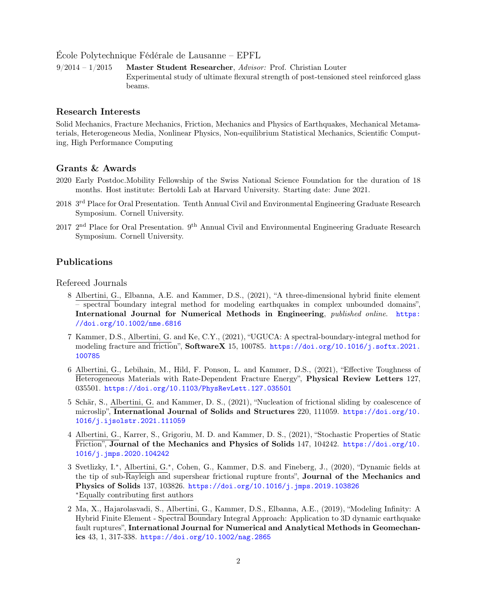École Polytechnique Fédérale de Lausanne – EPFL

9/2014 – 1/2015 Master Student Researcher, Advisor: Prof. Christian Louter Experimental study of ultimate flexural strength of post-tensioned steel reinforced glass beams.

### Research Interests

Solid Mechanics, Fracture Mechanics, Friction, Mechanics and Physics of Earthquakes, Mechanical Metamaterials, Heterogeneous Media, Nonlinear Physics, Non-equilibrium Statistical Mechanics, Scientific Computing, High Performance Computing

### Grants & Awards

- 2020 Early Postdoc.Mobility Fellowship of the Swiss National Science Foundation for the duration of 18 months. Host institute: Bertoldi Lab at Harvard University. Starting date: June 2021.
- 2018 3 rd Place for Oral Presentation. Tenth Annual Civil and Environmental Engineering Graduate Research Symposium. Cornell University.
- 2017 2<sup>nd</sup> Place for Oral Presentation. 9<sup>th</sup> Annual Civil and Environmental Engineering Graduate Research Symposium. Cornell University.

### Publications

Refereed Journals

- 8 Albertini, G., Elbanna, A.E. and Kammer, D.S., (2021), "A three-dimensional hybrid finite element – spectral boundary integral method for modeling earthquakes in complex unbounded domains", International Journal for Numerical Methods in Engineering, published online. [https:](https://doi.org/10.1002/nme.6816) [//doi.org/10.1002/nme.6816](https://doi.org/10.1002/nme.6816)
- 7 Kammer, D.S., Albertini, G. and Ke, C.Y., (2021), "UGUCA: A spectral-boundary-integral method for modeling fracture and friction", SoftwareX 15, 100785. [https://doi.org/10.1016/j.softx.2021.](https://doi.org/10.1016/j.softx.2021.100785) [100785](https://doi.org/10.1016/j.softx.2021.100785)
- 6 Albertini, G., Lebihain, M., Hild, F. Ponson, L. and Kammer, D.S., (2021), "Effective Toughness of Heterogeneous Materials with Rate-Dependent Fracture Energy", Physical Review Letters 127, 035501. <https://doi.org/10.1103/PhysRevLett.127.035501>
- 5 Schär, S., Albertini, G. and Kammer, D. S., (2021), "Nucleation of frictional sliding by coalescence of microslip", International Journal of Solids and Structures 220, 111059. [https://doi.org/10.](https://doi.org/10.1016/j.ijsolstr.2021.111059) [1016/j.ijsolstr.2021.111059](https://doi.org/10.1016/j.ijsolstr.2021.111059)
- 4 Albertini, G., Karrer, S., Grigoriu, M. D. and Kammer, D. S., (2021), "Stochastic Properties of Static Friction", Journal of the Mechanics and Physics of Solids 147, 104242. [https://doi.org/10.](https://doi.org/10.1016/j.jmps.2020.104242) [1016/j.jmps.2020.104242](https://doi.org/10.1016/j.jmps.2020.104242)
- 3 Svetlizky, I.<sup>∗</sup> , Albertini, G.<sup>∗</sup> , Cohen, G., Kammer, D.S. and Fineberg, J., (2020), "Dynamic fields at the tip of sub-Rayleigh and supershear frictional rupture fronts", Journal of the Mechanics and Physics of Solids 137, 103826. <https://doi.org/10.1016/j.jmps.2019.103826> <sup>∗</sup>Equally contributing first authors
- 2 Ma, X., Hajarolasvadi, S., Albertini, G., Kammer, D.S., Elbanna, A.E., (2019), "Modeling Infinity: A Hybrid Finite Element - Spectral Boundary Integral Approach: Application to 3D dynamic earthquake fault ruptures", International Journal for Numerical and Analytical Methods in Geomechanics 43, 1, 317-338. <https://doi.org/10.1002/nag.2865>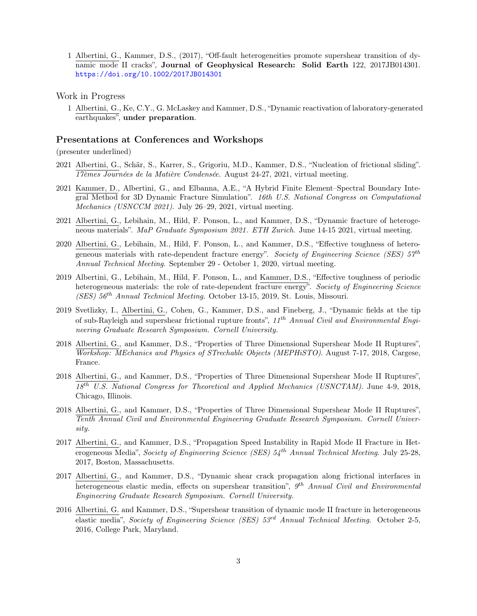1 Albertini, G., Kammer, D.S., (2017), "Off-fault heterogeneities promote supershear transition of dynamic mode II cracks", Journal of Geophysical Research: Solid Earth 122, 2017JB014301. <https://doi.org/10.1002/2017JB014301>

#### Work in Progress

1 Albertini, G., Ke, C.Y., G. McLaskey and Kammer, D.S., "Dynamic reactivation of laboratory-generated earthquakes", under preparation.

#### Presentations at Conferences and Workshops

(presenter underlined)

- 2021 Albertini, G., Schär, S., Karrer, S., Grigoriu, M.D., Kammer, D.S., "Nucleation of frictional sliding". 17èmes Journées de la Matière Condensée. August 24-27, 2021, virtual meeting.
- 2021 Kammer, D., Albertini, G., and Elbanna, A.E., "A Hybrid Finite Element–Spectral Boundary Integral Method for 3D Dynamic Fracture Simulation". 16th U.S. National Congress on Computational Mechanics (USNCCM 2021). July 26–29, 2021, virtual meeting.
- 2021 Albertini, G., Lebihain, M., Hild, F. Ponson, L., and Kammer, D.S., "Dynamic fracture of heterogeneous materials". MaP Graduate Symposium 2021. ETH Zurich. June 14-15 2021, virtual meeting.
- 2020 Albertini, G., Lebihain, M., Hild, F. Ponson, L., and Kammer, D.S., "Effective toughness of heterogeneous materials with rate-dependent fracture energy". Society of Engineering Science (SES)  $57^{th}$ Annual Technical Meeting. September 29 - October 1, 2020, virtual meeting.
- 2019 Albertini, G., Lebihain, M., Hild, F. Ponson, L., and Kammer, D.S., "Effective toughness of periodic heterogeneous materials: the role of rate-dependent fracture energy". Society of Engineering Science (SES)  $56<sup>th</sup> Annual Technical Meeting. October 13-15, 2019, St. Louis, Missouri.$
- 2019 Svetlizky, I., Albertini, G., Cohen, G., Kammer, D.S., and Fineberg, J., "Dynamic fields at the tip of sub-Rayleigh and supershear frictional rupture fronts", 11<sup>th</sup> Annual Civil and Environmental Engineering Graduate Research Symposium. Cornell University.
- 2018 Albertini, G., and Kammer, D.S., "Properties of Three Dimensional Supershear Mode II Ruptures", Workshop: MEchanics and Physics of STrechable Objects (MEPHiSTO). August 7-17, 2018, Cargese, France.
- 2018 Albertini, G., and Kammer, D.S., "Properties of Three Dimensional Supershear Mode II Ruptures", 18th U.S. National Congress for Theoretical and Applied Mechanics (USNCTAM). June 4-9, 2018, Chicago, Illinois.
- 2018 Albertini, G., and Kammer, D.S., "Properties of Three Dimensional Supershear Mode II Ruptures", Tenth Annual Civil and Environmental Engineering Graduate Research Symposium. Cornell University.
- 2017 Albertini, G., and Kammer, D.S., "Propagation Speed Instability in Rapid Mode II Fracture in Heterogeneous Media", Society of Engineering Science (SES)  $54^{th}$  Annual Technical Meeting. July 25-28, 2017, Boston, Massachusetts.
- 2017 Albertini, G., and Kammer, D.S., "Dynamic shear crack propagation along frictional interfaces in heterogeneous elastic media, effects on supershear transition",  $9<sup>th</sup>$  Annual Civil and Environmental Engineering Graduate Research Symposium. Cornell University.
- 2016 Albertini, G. and Kammer, D.S., "Supershear transition of dynamic mode II fracture in heterogeneous elastic media", Society of Engineering Science (SES)  $53<sup>rd</sup>$  Annual Technical Meeting. October 2-5, 2016, College Park, Maryland.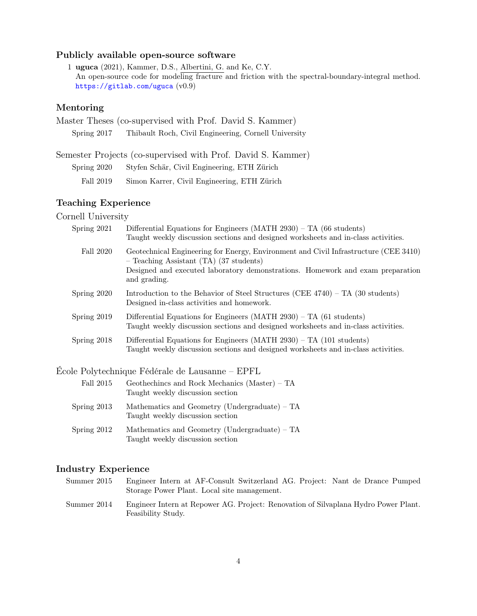# Publicly available open-source software

1 uguca (2021), Kammer, D.S., Albertini, G. and Ke, C.Y. An open-source code for modeling fracture and friction with the spectral-boundary-integral method. <https://gitlab.com/uguca> (v0.9)

# Mentoring

|             | Master Theses (co-supervised with Prof. David S. Kammer) |
|-------------|----------------------------------------------------------|
| Spring 2017 | Thibault Roch, Civil Engineering, Cornell University     |

Semester Projects (co-supervised with Prof. David S. Kammer)

| Spring 2020 |  |  | Styfen Schär, Civil Engineering, ETH Zürich |  |  |
|-------------|--|--|---------------------------------------------|--|--|
|-------------|--|--|---------------------------------------------|--|--|

Fall 2019 Simon Karrer, Civil Engineering, ETH Zürich

# Teaching Experience

Cornell University

| Spring 2021   | Differential Equations for Engineers $(MATH 2930)$ – TA (66 students)<br>Taught weekly discussion sections and designed worksheets and in-class activities.                                                                       |
|---------------|-----------------------------------------------------------------------------------------------------------------------------------------------------------------------------------------------------------------------------------|
| Fall 2020     | Geotechnical Engineering for Energy, Environment and Civil Infrastructure (CEE 3410)<br>- Teaching Assistant (TA) (37 students)<br>Designed and executed laboratory demonstrations. Homework and exam preparation<br>and grading. |
| Spring 2020   | Introduction to the Behavior of Steel Structures (CEE $4740$ ) – TA (30 students)<br>Designed in-class activities and homework.                                                                                                   |
| Spring 2019   | Differential Equations for Engineers $(MATH 2930) - TA (61 students)$<br>Taught weekly discussion sections and designed worksheets and in-class activities.                                                                       |
| Spring $2018$ | Differential Equations for Engineers (MATH $2930$ ) – TA (101 students)<br>Taught weekly discussion sections and designed worksheets and in-class activities.                                                                     |

École Polytechnique Fédérale de Lausanne – EPFL

| Fall 2015     | Geothechines and Rock Mechanics (Master) – TA<br>Taught weekly discussion section |
|---------------|-----------------------------------------------------------------------------------|
| Spring $2013$ | Mathematics and Geometry (Undergraduate) – TA<br>Taught weekly discussion section |
| Spring $2012$ | Mathematics and Geometry (Undergraduate) – TA<br>Taught weekly discussion section |

# Industry Experience

| Summer 2015 | Engineer Intern at AF-Consult Switzerland AG. Project: Nant de Drance Pumped<br>Storage Power Plant. Local site management. |
|-------------|-----------------------------------------------------------------------------------------------------------------------------|
| Summer 2014 | Engineer Intern at Repower AG. Project: Renovation of Silvaplana Hydro Power Plant.<br>Feasibility Study.                   |